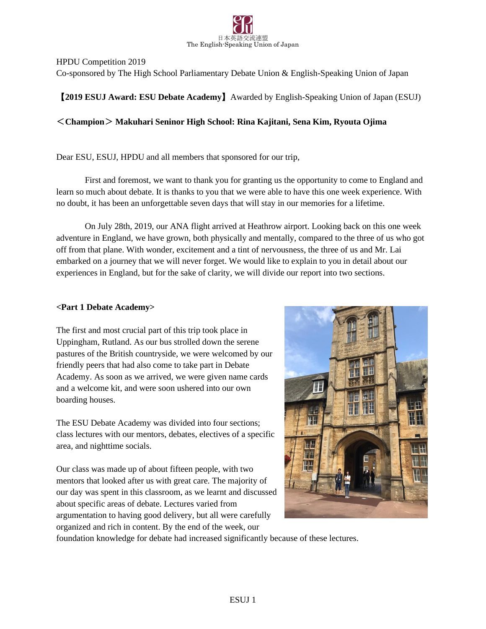

HPDU Competition 2019

Co-sponsored by The High School Parliamentary Debate Union & English-Speaking Union of Japan

## 【**2019 ESUJ Award: ESU Debate Academy**】Awarded by English-Speaking Union of Japan (ESUJ)

## <**Champion**> **Makuhari Seninor High School: Rina Kajitani, Sena Kim, Ryouta Ojima**

Dear ESU, ESUJ, HPDU and all members that sponsored for our trip,

First and foremost, we want to thank you for granting us the opportunity to come to England and learn so much about debate. It is thanks to you that we were able to have this one week experience. With no doubt, it has been an unforgettable seven days that will stay in our memories for a lifetime.

On July 28th, 2019, our ANA flight arrived at Heathrow airport. Looking back on this one week adventure in England, we have grown, both physically and mentally, compared to the three of us who got off from that plane. With wonder, excitement and a tint of nervousness, the three of us and Mr. Lai embarked on a journey that we will never forget. We would like to explain to you in detail about our experiences in England, but for the sake of clarity, we will divide our report into two sections.

## **<Part 1 Debate Academy>**

The first and most crucial part of this trip took place in Uppingham, Rutland. As our bus strolled down the serene pastures of the British countryside, we were welcomed by our friendly peers that had also come to take part in Debate Academy. As soon as we arrived, we were given name cards and a welcome kit, and were soon ushered into our own boarding houses.

The ESU Debate Academy was divided into four sections; class lectures with our mentors, debates, electives of a specific area, and nighttime socials.

Our class was made up of about fifteen people, with two mentors that looked after us with great care. The majority of our day was spent in this classroom, as we learnt and discussed about specific areas of debate. Lectures varied from argumentation to having good delivery, but all were carefully organized and rich in content. By the end of the week, our



foundation knowledge for debate had increased significantly because of these lectures.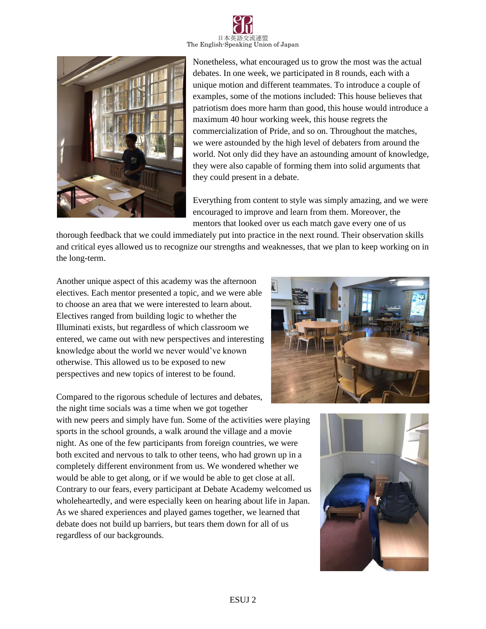



Nonetheless, what encouraged us to grow the most was the actual debates. In one week, we participated in 8 rounds, each with a unique motion and different teammates. To introduce a couple of examples, some of the motions included: This house believes that patriotism does more harm than good, this house would introduce a maximum 40 hour working week, this house regrets the commercialization of Pride, and so on. Throughout the matches, we were astounded by the high level of debaters from around the world. Not only did they have an astounding amount of knowledge, they were also capable of forming them into solid arguments that they could present in a debate.

Everything from content to style was simply amazing, and we were encouraged to improve and learn from them. Moreover, the mentors that looked over us each match gave every one of us

thorough feedback that we could immediately put into practice in the next round. Their observation skills and critical eyes allowed us to recognize our strengths and weaknesses, that we plan to keep working on in the long-term.

Another unique aspect of this academy was the afternoon electives. Each mentor presented a topic, and we were able to choose an area that we were interested to learn about. Electives ranged from building logic to whether the Illuminati exists, but regardless of which classroom we entered, we came out with new perspectives and interesting knowledge about the world we never would've known otherwise. This allowed us to be exposed to new perspectives and new topics of interest to be found.

Compared to the rigorous schedule of lectures and debates, the night time socials was a time when we got together

with new peers and simply have fun. Some of the activities were playing sports in the school grounds, a walk around the village and a movie night. As one of the few participants from foreign countries, we were both excited and nervous to talk to other teens, who had grown up in a completely different environment from us. We wondered whether we would be able to get along, or if we would be able to get close at all. Contrary to our fears, every participant at Debate Academy welcomed us wholeheartedly, and were especially keen on hearing about life in Japan. As we shared experiences and played games together, we learned that debate does not build up barriers, but tears them down for all of us regardless of our backgrounds.



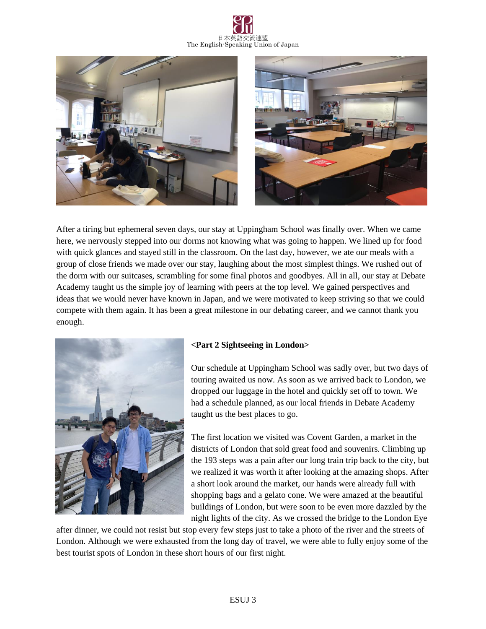





After a tiring but ephemeral seven days, our stay at Uppingham School was finally over. When we came here, we nervously stepped into our dorms not knowing what was going to happen. We lined up for food with quick glances and stayed still in the classroom. On the last day, however, we ate our meals with a group of close friends we made over our stay, laughing about the most simplest things. We rushed out of the dorm with our suitcases, scrambling for some final photos and goodbyes. All in all, our stay at Debate Academy taught us the simple joy of learning with peers at the top level. We gained perspectives and ideas that we would never have known in Japan, and we were motivated to keep striving so that we could compete with them again. It has been a great milestone in our debating career, and we cannot thank you enough.



## **<Part 2 Sightseeing in London>**

Our schedule at Uppingham School was sadly over, but two days of touring awaited us now. As soon as we arrived back to London, we dropped our luggage in the hotel and quickly set off to town. We had a schedule planned, as our local friends in Debate Academy taught us the best places to go.

The first location we visited was Covent Garden, a market in the districts of London that sold great food and souvenirs. Climbing up the 193 steps was a pain after our long train trip back to the city, but we realized it was worth it after looking at the amazing shops. After a short look around the market, our hands were already full with shopping bags and a gelato cone. We were amazed at the beautiful buildings of London, but were soon to be even more dazzled by the night lights of the city. As we crossed the bridge to the London Eye

after dinner, we could not resist but stop every few steps just to take a photo of the river and the streets of London. Although we were exhausted from the long day of travel, we were able to fully enjoy some of the best tourist spots of London in these short hours of our first night.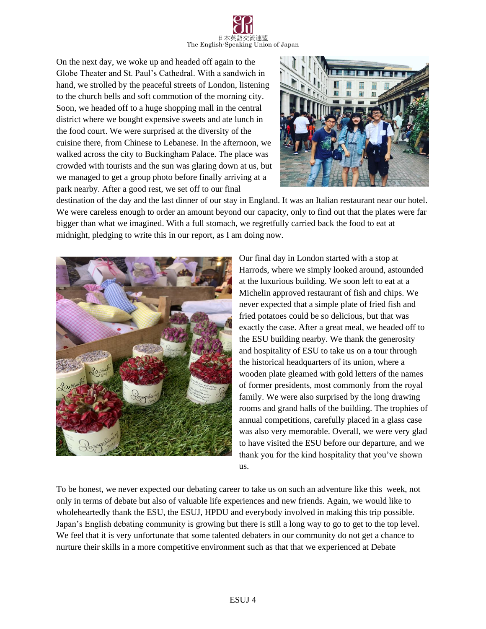

On the next day, we woke up and headed off again to the Globe Theater and St. Paul's Cathedral. With a sandwich in hand, we strolled by the peaceful streets of London, listening to the church bells and soft commotion of the morning city. Soon, we headed off to a huge shopping mall in the central district where we bought expensive sweets and ate lunch in the food court. We were surprised at the diversity of the cuisine there, from Chinese to Lebanese. In the afternoon, we walked across the city to Buckingham Palace. The place was crowded with tourists and the sun was glaring down at us, but we managed to get a group photo before finally arriving at a park nearby. After a good rest, we set off to our final



destination of the day and the last dinner of our stay in England. It was an Italian restaurant near our hotel. We were careless enough to order an amount beyond our capacity, only to find out that the plates were far bigger than what we imagined. With a full stomach, we regretfully carried back the food to eat at midnight, pledging to write this in our report, as I am doing now.



Our final day in London started with a stop at Harrods, where we simply looked around, astounded at the luxurious building. We soon left to eat at a Michelin approved restaurant of fish and chips. We never expected that a simple plate of fried fish and fried potatoes could be so delicious, but that was exactly the case. After a great meal, we headed off to the ESU building nearby. We thank the generosity and hospitality of ESU to take us on a tour through the historical headquarters of its union, where a wooden plate gleamed with gold letters of the names of former presidents, most commonly from the royal family. We were also surprised by the long drawing rooms and grand halls of the building. The trophies of annual competitions, carefully placed in a glass case was also very memorable. Overall, we were very glad to have visited the ESU before our departure, and we thank you for the kind hospitality that you've shown us.

To be honest, we never expected our debating career to take us on such an adventure like this week, not only in terms of debate but also of valuable life experiences and new friends. Again, we would like to wholeheartedly thank the ESU, the ESUJ, HPDU and everybody involved in making this trip possible. Japan's English debating community is growing but there is still a long way to go to get to the top level. We feel that it is very unfortunate that some talented debaters in our community do not get a chance to nurture their skills in a more competitive environment such as that that we experienced at Debate